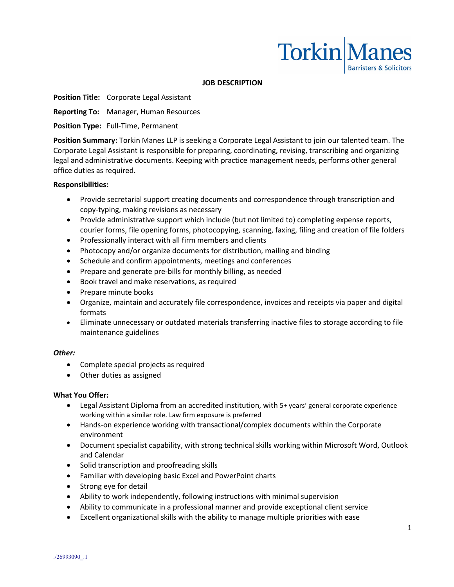

### **JOB DESCRIPTION**

**Position Title:** Corporate Legal Assistant

**Reporting To:** Manager, Human Resources

**Position Type:** Full-Time, Permanent

**Position Summary:** Torkin Manes LLP is seeking a Corporate Legal Assistant to join our talented team. The Corporate Legal Assistant is responsible for preparing, coordinating, revising, transcribing and organizing legal and administrative documents. Keeping with practice management needs, performs other general office duties as required.

### **Responsibilities:**

- Provide secretarial support creating documents and correspondence through transcription and copy-typing, making revisions as necessary
- Provide administrative support which include (but not limited to) completing expense reports, courier forms, file opening forms, photocopying, scanning, faxing, filing and creation of file folders
- Professionally interact with all firm members and clients
- Photocopy and/or organize documents for distribution, mailing and binding
- Schedule and confirm appointments, meetings and conferences
- Prepare and generate pre-bills for monthly billing, as needed
- Book travel and make reservations, as required
- Prepare minute books
- Organize, maintain and accurately file correspondence, invoices and receipts via paper and digital formats
- Eliminate unnecessary or outdated materials transferring inactive files to storage according to file maintenance guidelines

### *Other:*

- Complete special projects as required
- Other duties as assigned

### **What You Offer:**

- Legal Assistant Diploma from an accredited institution, with 5+ years' general corporate experience working within a similar role. Law firm exposure is preferred
- Hands-on experience working with transactional/complex documents within the Corporate environment
- Document specialist capability, with strong technical skills working within Microsoft Word, Outlook and Calendar
- Solid transcription and proofreading skills
- Familiar with developing basic Excel and PowerPoint charts
- Strong eye for detail
- Ability to work independently, following instructions with minimal supervision
- Ability to communicate in a professional manner and provide exceptional client service
- Excellent organizational skills with the ability to manage multiple priorities with ease